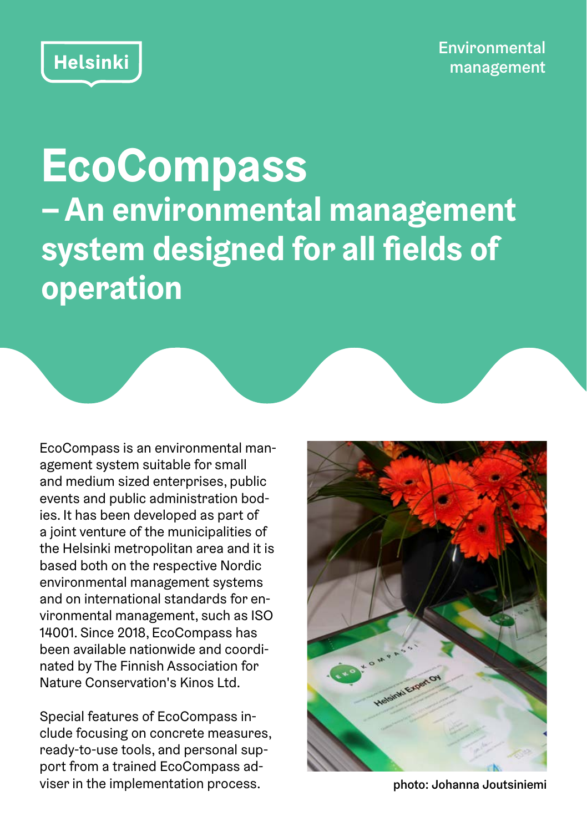

**EcoCompass – An environmental management system designed for all fields of operation**

EcoCompass is an environmental management system suitable for small and medium sized enterprises, public events and public administration bodies. It has been developed as part of a joint venture of the municipalities of the Helsinki metropolitan area and it is based both on the respective Nordic environmental management systems and on international standards for environmental management, such as ISO 14001. Since 2018, EcoCompass has been available nationwide and coordinated by The Finnish Association for Nature Conservation's Kinos Ltd.

Special features of EcoCompass include focusing on concrete measures, ready-to-use tools, and personal support from a trained EcoCompass adviser in the implementation process. example the intervals of photo: Johanna Joutsiniemi